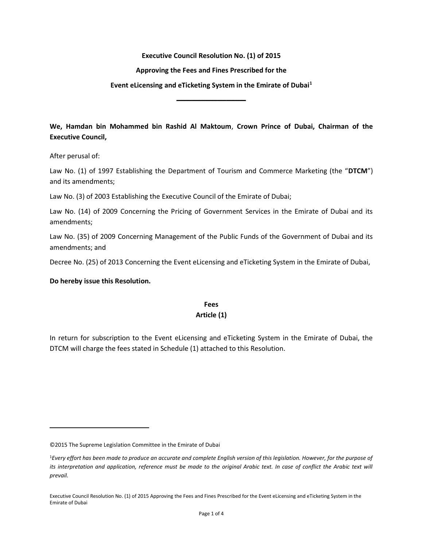#### Executive Council Resolution No. (1) of 2015

#### Approving the Fees and Fines Prescribed for the

#### Event eLicensing and eTicketing System in the Emirate of Dubai<sup>1</sup>

ــــــــــــــــــــــــــــــــــــــــــــــ

We, Hamdan bin Mohammed bin Rashid Al Maktoum, Crown Prince of Dubai, Chairman of the Executive Council,

After perusal of:

 $\overline{a}$ 

Law No. (1) of 1997 Establishing the Department of Tourism and Commerce Marketing (the "DTCM") and its amendments;

Law No. (3) of 2003 Establishing the Executive Council of the Emirate of Dubai;

Law No. (14) of 2009 Concerning the Pricing of Government Services in the Emirate of Dubai and its amendments;

Law No. (35) of 2009 Concerning Management of the Public Funds of the Government of Dubai and its amendments; and

Decree No. (25) of 2013 Concerning the Event eLicensing and eTicketing System in the Emirate of Dubai,

Do hereby issue this Resolution.

# Fees

## Article (1)

In return for subscription to the Event eLicensing and eTicketing System in the Emirate of Dubai, the DTCM will charge the fees stated in Schedule (1) attached to this Resolution.

<sup>©2015</sup> The Supreme Legislation Committee in the Emirate of Dubai

<sup>&</sup>lt;sup>1</sup>Every effort has been made to produce an accurate and complete English version of this legislation. However, for the purpose of its interpretation and application, reference must be made to the original Arabic text. In case of conflict the Arabic text will prevail.

Executive Council Resolution No. (1) of 2015 Approving the Fees and Fines Prescribed for the Event eLicensing and eTicketing System in the Emirate of Dubai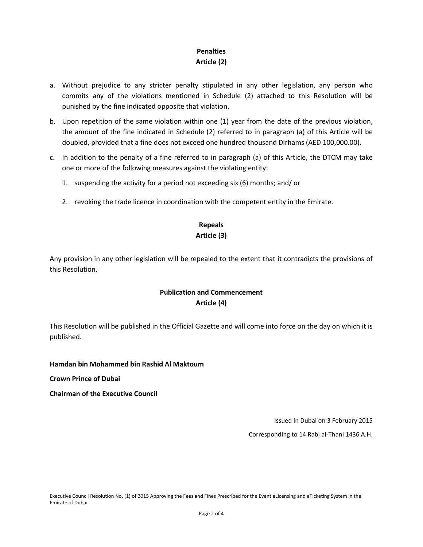# **Penalties** Article (2)

- a. Without prejudice to any stricter penalty stipulated in any other legislation, any person who commits any of the violations mentioned in Schedule (2) attached to this Resolution will be punished by the fine indicated opposite that violation.
- b. Upon repetition of the same violation within one (1) year from the date of the previous violation, the amount of the fine indicated in Schedule (2) referred to in paragraph (a) of this Article will be doubled, provided that a fine does not exceed one hundred thousand Dirhams (AED 100,000.00).
- c. In addition to the penalty of a fine referred to in paragraph (a) of this Article, the DTCM may take one or more of the following measures against the violating entity:
	- 1. suspending the activity for a period not exceeding six (6) months; and/ or
	- 2. revoking the trade licence in coordination with the competent entity in the Emirate.

## Repeals Article (3)

Any provision in any other legislation will be repealed to the extent that it contradicts the provisions of this Resolution.

# Publication and Commencement Article (4)

This Resolution will be published in the Official Gazette and will come into force on the day on which it is published.

### Hamdan bin Mohammed bin Rashid Al Maktoum

Crown Prince of Dubai

Chairman of the Executive Council

Issued in Dubai on 3 February 2015

Corresponding to 14 Rabi al-Thani 1436 A.H.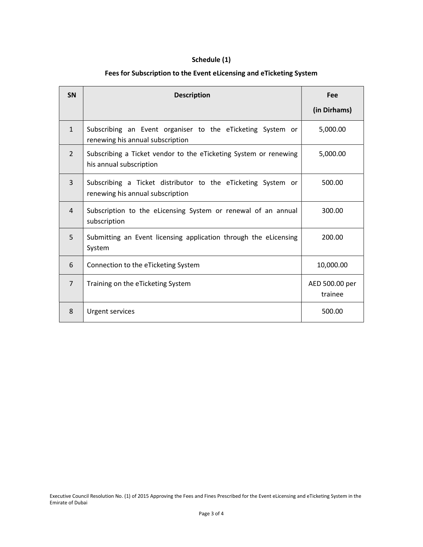# Schedule (1)

## Fees for Subscription to the Event eLicensing and eTicketing System

| <b>SN</b>      | <b>Description</b>                                                                               | Fee                       |
|----------------|--------------------------------------------------------------------------------------------------|---------------------------|
|                |                                                                                                  | (in Dirhams)              |
| $\mathbf{1}$   | Subscribing an Event organiser to the eTicketing System or<br>renewing his annual subscription   | 5,000.00                  |
| $\overline{2}$ | Subscribing a Ticket vendor to the eTicketing System or renewing<br>his annual subscription      | 5,000.00                  |
| 3              | Subscribing a Ticket distributor to the eTicketing System or<br>renewing his annual subscription | 500.00                    |
| $\overline{4}$ | Subscription to the eLicensing System or renewal of an annual<br>subscription                    | 300.00                    |
| 5              | Submitting an Event licensing application through the eLicensing<br>System                       | 200.00                    |
| 6              | Connection to the eTicketing System                                                              | 10,000.00                 |
| $\overline{7}$ | Training on the eTicketing System                                                                | AED 500.00 per<br>trainee |
| 8              | <b>Urgent services</b>                                                                           | 500.00                    |